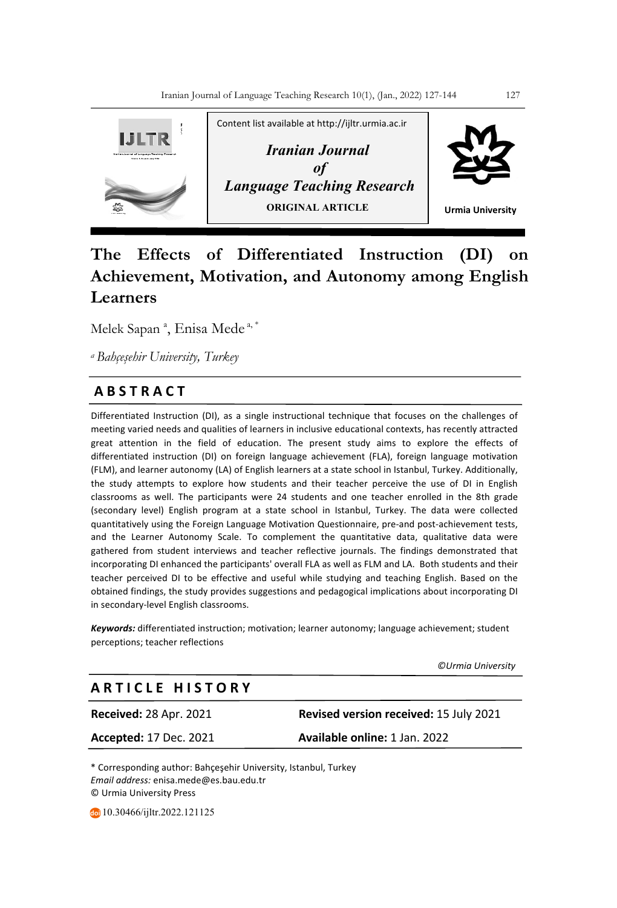

# **The Effects of Differentiated Instruction (DI) on Achievement, Motivation, and Autonomy among English Learners**

Melek Sapan<sup>a</sup>, Enisa Mede<sup>a,\*</sup>

*a Bahçeşehir University, Turkey*

# **A B S T R A C T**

Differentiated Instruction (DI), as a single instructional technique that focuses on the challenges of meeting varied needs and qualities of learners in inclusive educational contexts, has recently attracted great attention in the field of education. The present study aims to explore the effects of differentiated instruction (DI) on foreign language achievement (FLA), foreign language motivation (FLM), and learner autonomy (LA) of English learners at a state school in Istanbul, Turkey. Additionally, the study attempts to explore how students and their teacher perceive the use of DI in English classrooms as well. The participants were 24 students and one teacher enrolled in the 8th grade (secondary level) English program at a state school in Istanbul, Turkey. The data were collected quantitatively using the Foreign Language Motivation Questionnaire, pre-and post-achievement tests, and the Learner Autonomy Scale. To complement the quantitative data, qualitative data were gathered from student interviews and teacher reflective journals. The findings demonstrated that incorporating DI enhanced the participants' overall FLA as well as FLM and LA. Both students and their teacher perceived DI to be effective and useful while studying and teaching English. Based on the obtained findings, the study provides suggestions and pedagogical implications about incorporating DI in secondary-level English classrooms.

*Keywords:* differentiated instruction; motivation; learner autonomy; language achievement; student perceptions; teacher reflections

 *©Urmia University* 

# *Press* **A R T I C L E H I S T O R Y**

**Received:** 28 Apr. 2021 **Revised version received:** 15 July 2021 **Accepted:** 17 Dec. 2021 **Available online:** 1 Jan. 2022

\* Corresponding author: Bahçeşehir University, Istanbul, Turkey *Email address:* enisa.mede@es.bau.edu.tr © Urmia University Press

10.30466/ijltr.2022.121125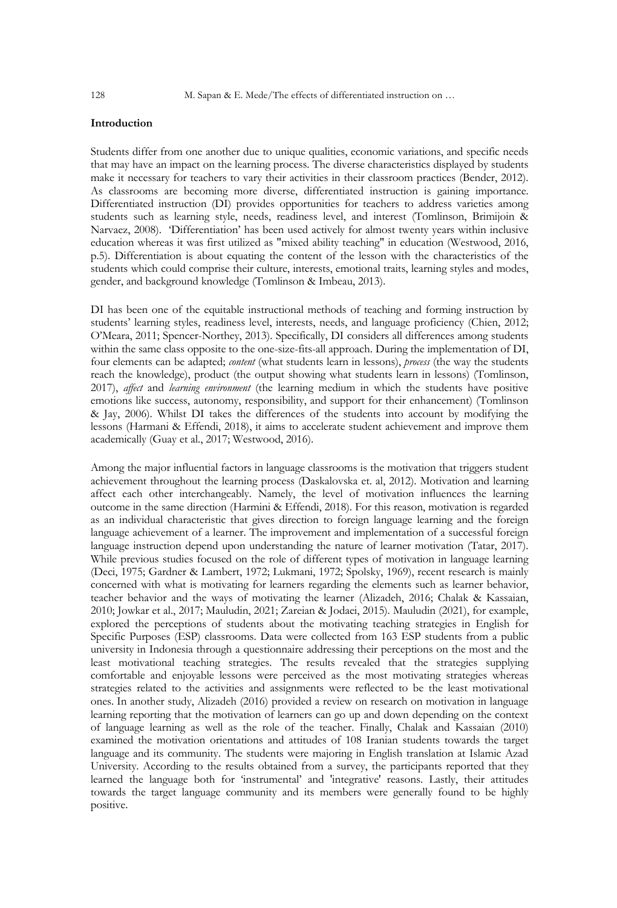#### **Introduction**

Students differ from one another due to unique qualities, economic variations, and specific needs that may have an impact on the learning process. The diverse characteristics displayed by students make it necessary for teachers to vary their activities in their classroom practices (Bender, 2012). As classrooms are becoming more diverse, differentiated instruction is gaining importance. Differentiated instruction (DI) provides opportunities for teachers to address varieties among students such as learning style, needs, readiness level, and interest (Tomlinson, Brimijoin & Narvaez, 2008). 'Differentiation' has been used actively for almost twenty years within inclusive education whereas it was first utilized as "mixed ability teaching" in education (Westwood, 2016, p.5). Differentiation is about equating the content of the lesson with the characteristics of the students which could comprise their culture, interests, emotional traits, learning styles and modes, gender, and background knowledge (Tomlinson & Imbeau, 2013).

DI has been one of the equitable instructional methods of teaching and forming instruction by students' learning styles, readiness level, interests, needs, and language proficiency (Chien, 2012; O'Meara, 2011; Spencer-Northey, 2013). Specifically, DI considers all differences among students within the same class opposite to the one-size-fits-all approach. During the implementation of DI, four elements can be adapted; *content* (what students learn in lessons), *process* (the way the students reach the knowledge), product (the output showing what students learn in lessons) (Tomlinson, 2017), *affect* and *learning environment* (the learning medium in which the students have positive emotions like success, autonomy, responsibility, and support for their enhancement) (Tomlinson & Jay, 2006). Whilst DI takes the differences of the students into account by modifying the lessons (Harmani & Effendi, 2018), it aims to accelerate student achievement and improve them academically (Guay et al., 2017; Westwood, 2016).

Among the major influential factors in language classrooms is the motivation that triggers student achievement throughout the learning process (Daskalovska et. al, 2012). Motivation and learning affect each other interchangeably. Namely, the level of motivation influences the learning outcome in the same direction (Harmini & Effendi, 2018). For this reason, motivation is regarded as an individual characteristic that gives direction to foreign language learning and the foreign language achievement of a learner. The improvement and implementation of a successful foreign language instruction depend upon understanding the nature of learner motivation (Tatar, 2017). While previous studies focused on the role of different types of motivation in language learning (Deci, 1975; Gardner & Lambert, 1972; Lukmani, 1972; Spolsky, 1969), recent research is mainly concerned with what is motivating for learners regarding the elements such as learner behavior, teacher behavior and the ways of motivating the learner (Alizadeh, 2016; Chalak & Kassaian, 2010; Jowkar et al., 2017; Mauludin, 2021; Zareian & Jodaei, 2015). Mauludin (2021), for example, explored the perceptions of students about the motivating teaching strategies in English for Specific Purposes (ESP) classrooms. Data were collected from 163 ESP students from a public university in Indonesia through a questionnaire addressing their perceptions on the most and the least motivational teaching strategies. The results revealed that the strategies supplying comfortable and enjoyable lessons were perceived as the most motivating strategies whereas strategies related to the activities and assignments were reflected to be the least motivational ones. In another study, Alizadeh (2016) provided a review on research on motivation in language learning reporting that the motivation of learners can go up and down depending on the context of language learning as well as the role of the teacher. Finally, Chalak and Kassaian (2010) examined the motivation orientations and attitudes of 108 Iranian students towards the target language and its community. The students were majoring in English translation at Islamic Azad University. According to the results obtained from a survey, the participants reported that they learned the language both for 'instrumental' and 'integrative' reasons. Lastly, their attitudes towards the target language community and its members were generally found to be highly positive.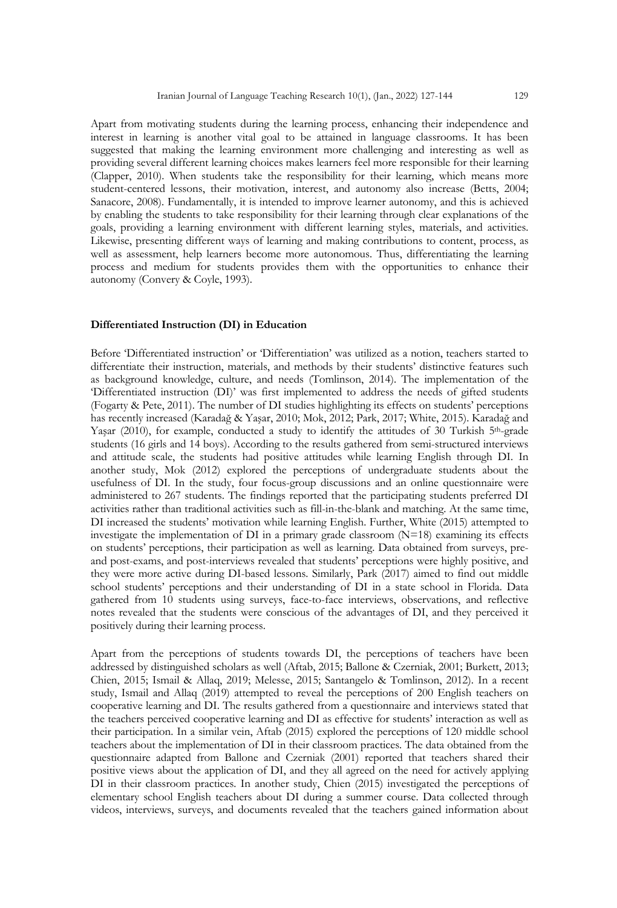Apart from motivating students during the learning process, enhancing their independence and interest in learning is another vital goal to be attained in language classrooms. It has been suggested that making the learning environment more challenging and interesting as well as providing several different learning choices makes learners feel more responsible for their learning (Clapper, 2010). When students take the responsibility for their learning, which means more student-centered lessons, their motivation, interest, and autonomy also increase (Betts, 2004; Sanacore, 2008). Fundamentally, it is intended to improve learner autonomy, and this is achieved by enabling the students to take responsibility for their learning through clear explanations of the goals, providing a learning environment with different learning styles, materials, and activities. Likewise, presenting different ways of learning and making contributions to content, process, as well as assessment, help learners become more autonomous. Thus, differentiating the learning process and medium for students provides them with the opportunities to enhance their autonomy (Convery & Coyle, 1993).

## **Differentiated Instruction (DI) in Education**

Before 'Differentiated instruction' or 'Differentiation' was utilized as a notion, teachers started to differentiate their instruction, materials, and methods by their students' distinctive features such as background knowledge, culture, and needs (Tomlinson, 2014). The implementation of the 'Differentiated instruction (DI)' was first implemented to address the needs of gifted students (Fogarty & Pete, 2011). The number of DI studies highlighting its effects on students' perceptions has recently increased (Karadağ & Yaşar, 2010; Mok, 2012; Park, 2017; White, 2015). Karadağ and Yaşar (2010), for example, conducted a study to identify the attitudes of 30 Turkish 5th-grade students (16 girls and 14 boys). According to the results gathered from semi-structured interviews and attitude scale, the students had positive attitudes while learning English through DI. In another study, Mok (2012) explored the perceptions of undergraduate students about the usefulness of DI. In the study, four focus-group discussions and an online questionnaire were administered to 267 students. The findings reported that the participating students preferred DI activities rather than traditional activities such as fill-in-the-blank and matching. At the same time, DI increased the students' motivation while learning English. Further, White (2015) attempted to investigate the implementation of DI in a primary grade classroom  $(N=18)$  examining its effects on students' perceptions, their participation as well as learning. Data obtained from surveys, preand post-exams, and post-interviews revealed that students' perceptions were highly positive, and they were more active during DI-based lessons. Similarly, Park (2017) aimed to find out middle school students' perceptions and their understanding of DI in a state school in Florida. Data gathered from 10 students using surveys, face-to-face interviews, observations, and reflective notes revealed that the students were conscious of the advantages of DI, and they perceived it positively during their learning process.

Apart from the perceptions of students towards DI, the perceptions of teachers have been addressed by distinguished scholars as well (Aftab, 2015; Ballone & Czerniak, 2001; Burkett, 2013; Chien, 2015; Ismail & Allaq, 2019; Melesse, 2015; Santangelo & Tomlinson, 2012). In a recent study, Ismail and Allaq (2019) attempted to reveal the perceptions of 200 English teachers on cooperative learning and DI. The results gathered from a questionnaire and interviews stated that the teachers perceived cooperative learning and DI as effective for students' interaction as well as their participation. In a similar vein, Aftab (2015) explored the perceptions of 120 middle school teachers about the implementation of DI in their classroom practices. The data obtained from the questionnaire adapted from Ballone and Czerniak (2001) reported that teachers shared their positive views about the application of DI, and they all agreed on the need for actively applying DI in their classroom practices. In another study, Chien (2015) investigated the perceptions of elementary school English teachers about DI during a summer course. Data collected through videos, interviews, surveys, and documents revealed that the teachers gained information about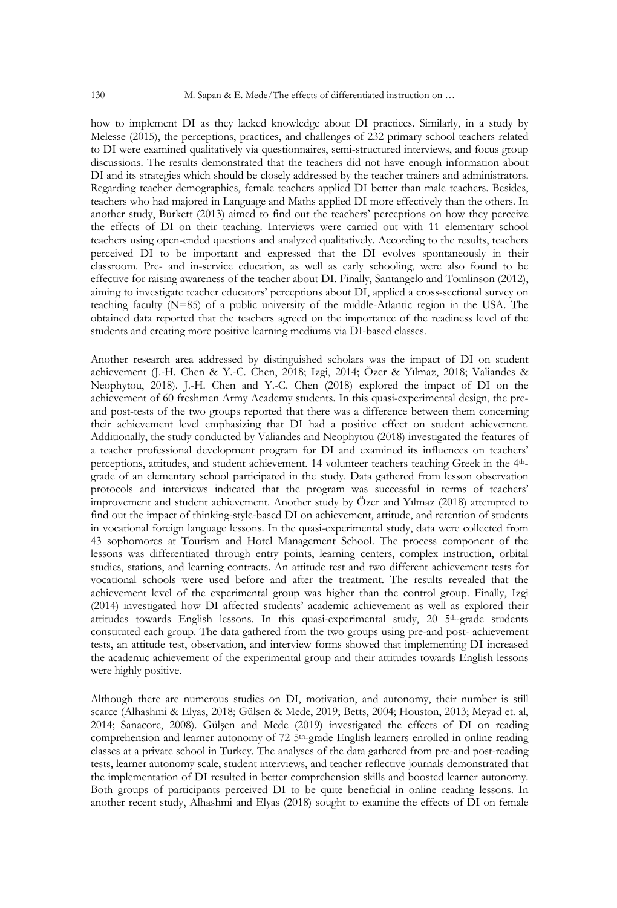how to implement DI as they lacked knowledge about DI practices. Similarly, in a study by Melesse (2015), the perceptions, practices, and challenges of 232 primary school teachers related to DI were examined qualitatively via questionnaires, semi-structured interviews, and focus group discussions. The results demonstrated that the teachers did not have enough information about DI and its strategies which should be closely addressed by the teacher trainers and administrators. Regarding teacher demographics, female teachers applied DI better than male teachers. Besides, teachers who had majored in Language and Maths applied DI more effectively than the others. In another study, Burkett (2013) aimed to find out the teachers' perceptions on how they perceive the effects of DI on their teaching. Interviews were carried out with 11 elementary school teachers using open-ended questions and analyzed qualitatively. According to the results, teachers perceived DI to be important and expressed that the DI evolves spontaneously in their classroom. Pre- and in-service education, as well as early schooling, were also found to be effective for raising awareness of the teacher about DI. Finally, Santangelo and Tomlinson (2012), aiming to investigate teacher educators' perceptions about DI, applied a cross-sectional survey on teaching faculty (N=85) of a public university of the middle-Atlantic region in the USA. The obtained data reported that the teachers agreed on the importance of the readiness level of the students and creating more positive learning mediums via DI-based classes.

Another research area addressed by distinguished scholars was the impact of DI on student achievement (J.-H. Chen & Y.-C. Chen, 2018; Izgi, 2014; Özer & Yılmaz, 2018; Valiandes & Neophytou, 2018). J.-H. Chen and Y.-C. Chen (2018) explored the impact of DI on the achievement of 60 freshmen Army Academy students. In this quasi-experimental design, the preand post-tests of the two groups reported that there was a difference between them concerning their achievement level emphasizing that DI had a positive effect on student achievement. Additionally, the study conducted by Valiandes and Neophytou (2018) investigated the features of a teacher professional development program for DI and examined its influences on teachers' perceptions, attitudes, and student achievement. 14 volunteer teachers teaching Greek in the 4thgrade of an elementary school participated in the study. Data gathered from lesson observation protocols and interviews indicated that the program was successful in terms of teachers' improvement and student achievement. Another study by Özer and Yılmaz (2018) attempted to find out the impact of thinking-style-based DI on achievement, attitude, and retention of students in vocational foreign language lessons. In the quasi-experimental study, data were collected from 43 sophomores at Tourism and Hotel Management School. The process component of the lessons was differentiated through entry points, learning centers, complex instruction, orbital studies, stations, and learning contracts. An attitude test and two different achievement tests for vocational schools were used before and after the treatment. The results revealed that the achievement level of the experimental group was higher than the control group. Finally, Izgi (2014) investigated how DI affected students' academic achievement as well as explored their attitudes towards English lessons. In this quasi-experimental study, 20 5<sup>th</sup>-grade students constituted each group. The data gathered from the two groups using pre-and post- achievement tests, an attitude test, observation, and interview forms showed that implementing DI increased the academic achievement of the experimental group and their attitudes towards English lessons were highly positive.

Although there are numerous studies on DI, motivation, and autonomy, their number is still scarce (Alhashmi & Elyas, 2018; Gülşen & Mede, 2019; Betts, 2004; Houston, 2013; Meyad et. al, 2014; Sanacore, 2008). Gülşen and Mede (2019) investigated the effects of DI on reading comprehension and learner autonomy of 72 5th-grade English learners enrolled in online reading classes at a private school in Turkey. The analyses of the data gathered from pre-and post-reading tests, learner autonomy scale, student interviews, and teacher reflective journals demonstrated that the implementation of DI resulted in better comprehension skills and boosted learner autonomy. Both groups of participants perceived DI to be quite beneficial in online reading lessons. In another recent study, Alhashmi and Elyas (2018) sought to examine the effects of DI on female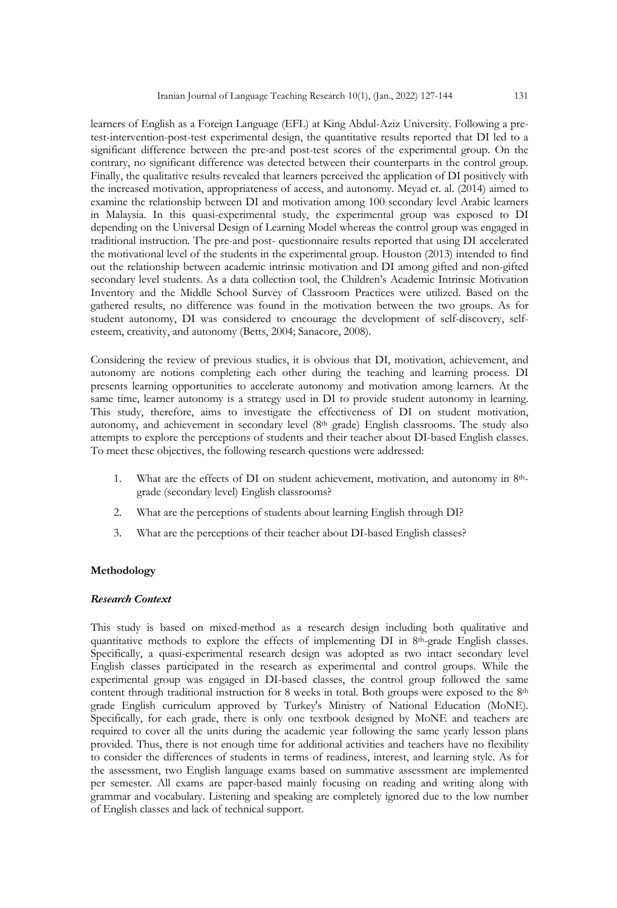learners of English as a Foreign Language (EFL) at King Abdul-Aziz University. Following a pretest-intervention-post-test experimental design, the quantitative results reported that DI led to a significant difference between the pre-and post-test scores of the experimental group. On the contrary, no significant difference was detected between their counterparts in the control group. Finally, the qualitative results revealed that learners perceived the application of DI positively with the increased motivation, appropriateness of access, and autonomy. Meyad et. al. (2014) aimed to examine the relationship between DI and motivation among 100 secondary level Arabic learners in Malaysia. In this quasi-experimental study, the experimental group was exposed to DI depending on the Universal Design of Learning Model whereas the control group was engaged in traditional instruction. The pre-and post- questionnaire results reported that using DI accelerated the motivational level of the students in the experimental group. Houston (2013) intended to find out the relationship between academic intrinsic motivation and DI among gifted and non-gifted secondary level students. As a data collection tool, the Children's Academic Intrinsic Motivation Inventory and the Middle School Survey of Classroom Practices were utilized. Based on the gathered results, no difference was found in the motivation between the two groups. As for student autonomy, DI was considered to encourage the development of self-discovery, selfesteem, creativity, and autonomy (Betts, 2004; Sanacore, 2008).

Considering the review of previous studies, it is obvious that DI, motivation, achievement, and autonomy are notions completing each other during the teaching and learning process. DI presents learning opportunities to accelerate autonomy and motivation among learners. At the same time, learner autonomy is a strategy used in DI to provide student autonomy in learning. This study, therefore, aims to investigate the effectiveness of DI on student motivation, autonomy, and achievement in secondary level (8<sup>th</sup> grade) English classrooms. The study also attempts to explore the perceptions of students and their teacher about DI-based English classes. To meet these objectives, the following research questions were addressed:

- 1. What are the effects of DI on student achievement, motivation, and autonomy in 8thgrade (secondary level) English classrooms?
- 2. What are the perceptions of students about learning English through DI?
- 3. What are the perceptions of their teacher about DI-based English classes?

# **Methodology**

# *Research Context*

This study is based on mixed-method as a research design including both qualitative and quantitative methods to explore the effects of implementing DI in 8th-grade English classes. Specifically, a quasi-experimental research design was adopted as two intact secondary level English classes participated in the research as experimental and control groups. While the experimental group was engaged in DI-based classes, the control group followed the same content through traditional instruction for 8 weeks in total. Both groups were exposed to the 8<sup>th</sup> grade English curriculum approved by Turkey's Ministry of National Education (MoNE). Specifically, for each grade, there is only one textbook designed by MoNE and teachers are required to cover all the units during the academic year following the same yearly lesson plans provided. Thus, there is not enough time for additional activities and teachers have no flexibility to consider the differences of students in terms of readiness, interest, and learning style. As for the assessment, two English language exams based on summative assessment are implemented per semester. All exams are paper-based mainly focusing on reading and writing along with grammar and vocabulary. Listening and speaking are completely ignored due to the low number of English classes and lack of technical support.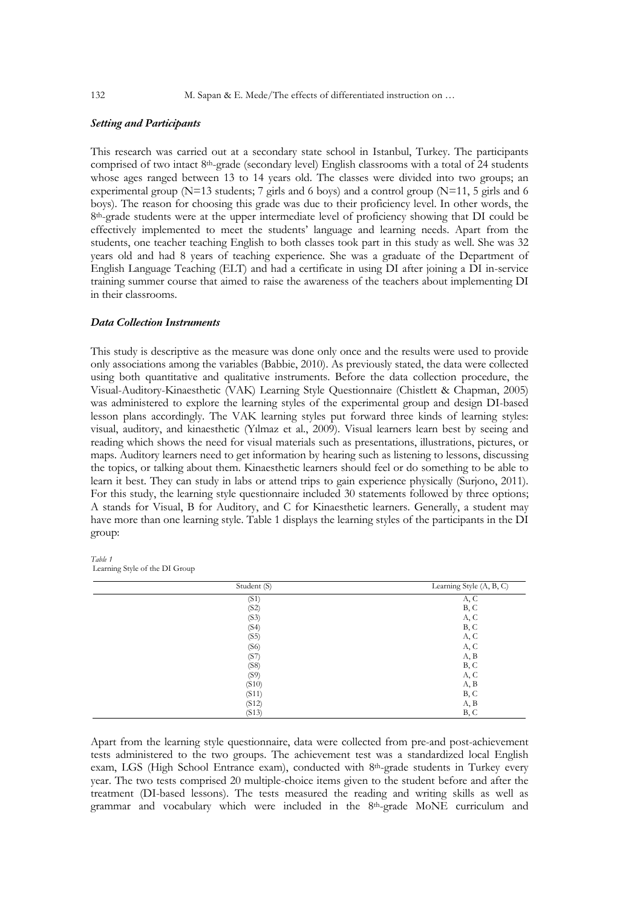132 M. Sapan & E. Mede/The effects of differentiated instruction on ...

#### *Setting and Participants*

This research was carried out at a secondary state school in Istanbul, Turkey. The participants comprised of two intact 8th-grade (secondary level) English classrooms with a total of 24 students whose ages ranged between 13 to 14 years old. The classes were divided into two groups; an experimental group ( $N=13$  students; 7 girls and 6 boys) and a control group ( $N=11$ , 5 girls and 6 boys). The reason for choosing this grade was due to their proficiency level. In other words, the 8th-grade students were at the upper intermediate level of proficiency showing that DI could be effectively implemented to meet the students' language and learning needs. Apart from the students, one teacher teaching English to both classes took part in this study as well. She was 32 years old and had 8 years of teaching experience. She was a graduate of the Department of English Language Teaching (ELT) and had a certificate in using DI after joining a DI in-service training summer course that aimed to raise the awareness of the teachers about implementing DI in their classrooms.

# *Data Collection Instruments*

This study is descriptive as the measure was done only once and the results were used to provide only associations among the variables (Babbie, 2010). As previously stated, the data were collected using both quantitative and qualitative instruments. Before the data collection procedure, the Visual-Auditory-Kinaesthetic (VAK) Learning Style Questionnaire (Chistlett & Chapman, 2005) was administered to explore the learning styles of the experimental group and design DI-based lesson plans accordingly. The VAK learning styles put forward three kinds of learning styles: visual, auditory, and kinaesthetic (Yılmaz et al., 2009). Visual learners learn best by seeing and reading which shows the need for visual materials such as presentations, illustrations, pictures, or maps. Auditory learners need to get information by hearing such as listening to lessons, discussing the topics, or talking about them. Kinaesthetic learners should feel or do something to be able to learn it best. They can study in labs or attend trips to gain experience physically (Surjono, 2011). For this study, the learning style questionnaire included 30 statements followed by three options; A stands for Visual, B for Auditory, and C for Kinaesthetic learners. Generally, a student may have more than one learning style. Table 1 displays the learning styles of the participants in the DI group:

*Table 1* Learning Style of the DI Group

| Student (S) | Learning Style (A, B, C) |
|-------------|--------------------------|
| (S1)        | A, C                     |
| (S2)        | B, C                     |
| (S3)        | A, C                     |
| (S4)        | B, C                     |
| (S5)        | A, C                     |
| (S6)        | A, C                     |
| (S7)        | A, B                     |
| (S8)        | B, C                     |
| (S9)        | A, C                     |
| (S10)       | A, B                     |
| (S11)       | B, C                     |
| (S12)       | A, B                     |
| (S13)       | B, C                     |

Apart from the learning style questionnaire, data were collected from pre-and post-achievement tests administered to the two groups. The achievement test was a standardized local English exam, LGS (High School Entrance exam), conducted with 8th-grade students in Turkey every year. The two tests comprised 20 multiple-choice items given to the student before and after the treatment (DI-based lessons). The tests measured the reading and writing skills as well as grammar and vocabulary which were included in the 8th-grade MoNE curriculum and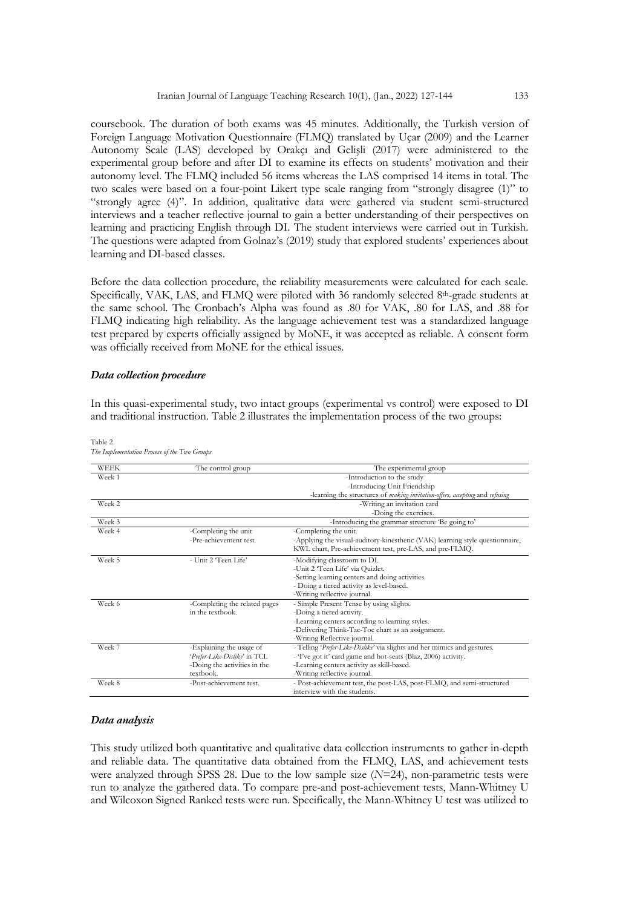coursebook. The duration of both exams was 45 minutes. Additionally, the Turkish version of Foreign Language Motivation Questionnaire (FLMQ) translated by Uçar (2009) and the Learner Autonomy Scale (LAS) developed by Orakçı and Gelişli (2017) were administered to the experimental group before and after DI to examine its effects on students' motivation and their autonomy level. The FLMQ included 56 items whereas the LAS comprised 14 items in total. The two scales were based on a four-point Likert type scale ranging from "strongly disagree (1)" to "strongly agree (4)". In addition, qualitative data were gathered via student semi-structured interviews and a teacher reflective journal to gain a better understanding of their perspectives on learning and practicing English through DI. The student interviews were carried out in Turkish. The questions were adapted from Golnaz's (2019) study that explored students' experiences about learning and DI-based classes.

Before the data collection procedure, the reliability measurements were calculated for each scale. Specifically, VAK, LAS, and FLMQ were piloted with 36 randomly selected 8th-grade students at the same school. The Cronbach's Alpha was found as .80 for VAK, .80 for LAS, and .88 for FLMQ indicating high reliability. As the language achievement test was a standardized language test prepared by experts officially assigned by MoNE, it was accepted as reliable. A consent form was officially received from MoNE for the ethical issues.

# *Data collection procedure*

In this quasi-experimental study, two intact groups (experimental vs control) were exposed to DI and traditional instruction. Table 2 illustrates the implementation process of the two groups:

| <b>WEEK</b> | The control group             | The experimental group                                                        |
|-------------|-------------------------------|-------------------------------------------------------------------------------|
| Week 1      |                               | -Introduction to the study                                                    |
|             |                               | -Introducing Unit Friendship                                                  |
|             |                               | -learning the structures of making invitation-offers, accepting and refusing  |
| Week 2      |                               | -Writing an invitation card                                                   |
|             |                               | -Doing the exercises.                                                         |
| Week 3      |                               | -Introducing the grammar structure 'Be going to'                              |
| Week 4      | -Completing the unit          | -Completing the unit.                                                         |
|             | -Pre-achievement test.        | -Applying the visual-auditory-kinesthetic (VAK) learning style questionnaire, |
|             |                               | KWL chart, Pre-achievement test, pre-LAS, and pre-FLMO.                       |
| Week 5      | - Unit 2 'Teen Life'          | -Modifying classroom to DI.                                                   |
|             |                               | -Unit 2 'Teen Life' via Quizlet.                                              |
|             |                               | -Setting learning centers and doing activities.                               |
|             |                               | - Doing a tiered activity as level-based.                                     |
|             |                               | -Writing reflective journal.                                                  |
| Week 6      | -Completing the related pages | - Simple Present Tense by using slights.                                      |
|             | in the textbook.              | -Doing a tiered activity.                                                     |
|             |                               | -Learning centers according to learning styles.                               |
|             |                               | -Delivering Think-Tac-Toe chart as an assignment.                             |
|             |                               | -Writing Reflective journal.                                                  |
| Week 7      | -Explaining the usage of      | - Telling 'Prefer-Like-Dislike' via slights and her mimics and gestures.      |
|             | 'Prefer-Like-Dislike' in TCI. | - 'Tve got it' card game and hot-seats (Blaz, 2006) activity.                 |
|             | -Doing the activities in the  | -Learning centers activity as skill-based.                                    |
|             | textbook.                     | -Writing reflective journal.                                                  |
| Week 8      | -Post-achievement test.       | - Post-achievement test, the post-LAS, post-FLMO, and semi-structured         |
|             |                               | interview with the students.                                                  |

Table 2 *The Implementation Process of the Two Groups*

# *Data analysis*

This study utilized both quantitative and qualitative data collection instruments to gather in-depth and reliable data. The quantitative data obtained from the FLMQ, LAS, and achievement tests were analyzed through SPSS 28. Due to the low sample size (*N*=24), non-parametric tests were run to analyze the gathered data. To compare pre-and post-achievement tests, Mann-Whitney U and Wilcoxon Signed Ranked tests were run. Specifically, the Mann-Whitney U test was utilized to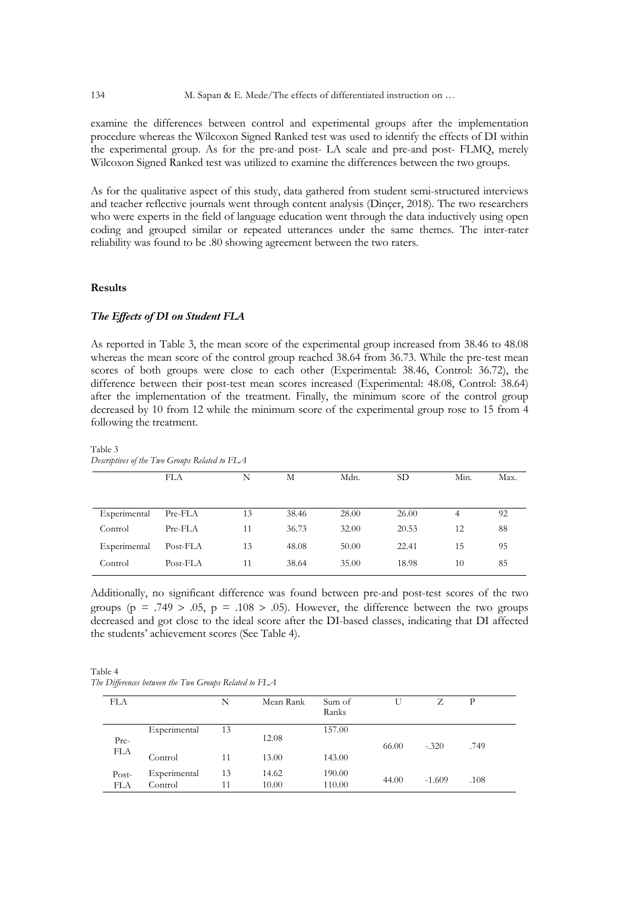examine the differences between control and experimental groups after the implementation procedure whereas the Wilcoxon Signed Ranked test was used to identify the effects of DI within the experimental group. As for the pre-and post- LA scale and pre-and post- FLMQ, merely Wilcoxon Signed Ranked test was utilized to examine the differences between the two groups.

As for the qualitative aspect of this study, data gathered from student semi-structured interviews and teacher reflective journals went through content analysis (Dinçer, 2018). The two researchers who were experts in the field of language education went through the data inductively using open coding and grouped similar or repeated utterances under the same themes. The inter-rater reliability was found to be .80 showing agreement between the two raters.

# **Results**

# *The Effects of DI on Student FLA*

As reported in Table 3, the mean score of the experimental group increased from 38.46 to 48.08 whereas the mean score of the control group reached 38.64 from 36.73. While the pre-test mean scores of both groups were close to each other (Experimental: 38.46, Control: 36.72), the difference between their post-test mean scores increased (Experimental: 48.08, Control: 38.64) after the implementation of the treatment. Finally, the minimum score of the control group decreased by 10 from 12 while the minimum score of the experimental group rose to 15 from 4 following the treatment.

FLA N M Mdn. SD Min. Max. Experimental Pre-FLA 13 38.46 28.00 26.00 4 92 Control Pre-FLA 11 36.73 32.00 20.53 12 88 Experimental Post-FLA 13 48.08 50.00 22.41 15 95 Control Post-FLA 11 38.64 35.00 18.98 10 85

Table 3 *Descriptives of the Two Groups Related to FLA*

Additionally, no significant difference was found between pre-and post-test scores of the two groups ( $p = .749 > .05$ ,  $p = .108 > .05$ ). However, the difference between the two groups decreased and got close to the ideal score after the DI-based classes, indicating that DI affected the students' achievement scores (See Table 4).

Table 4 *The Differences between the Two Groups Related to FLA*

| FLA          |                         | N        | Mean Rank      | Sum of<br>Ranks  |       |          | P    |
|--------------|-------------------------|----------|----------------|------------------|-------|----------|------|
| Pre-         | Experimental            | 13       | 12.08          | 157.00           | 66.00 | $-.320$  | .749 |
| <b>FLA</b>   | Control                 | 11       | 13.00          | 143.00           |       |          |      |
| Post-<br>FLA | Experimental<br>Control | 13<br>11 | 14.62<br>10.00 | 190.00<br>110.00 | 44.00 | $-1.609$ | .108 |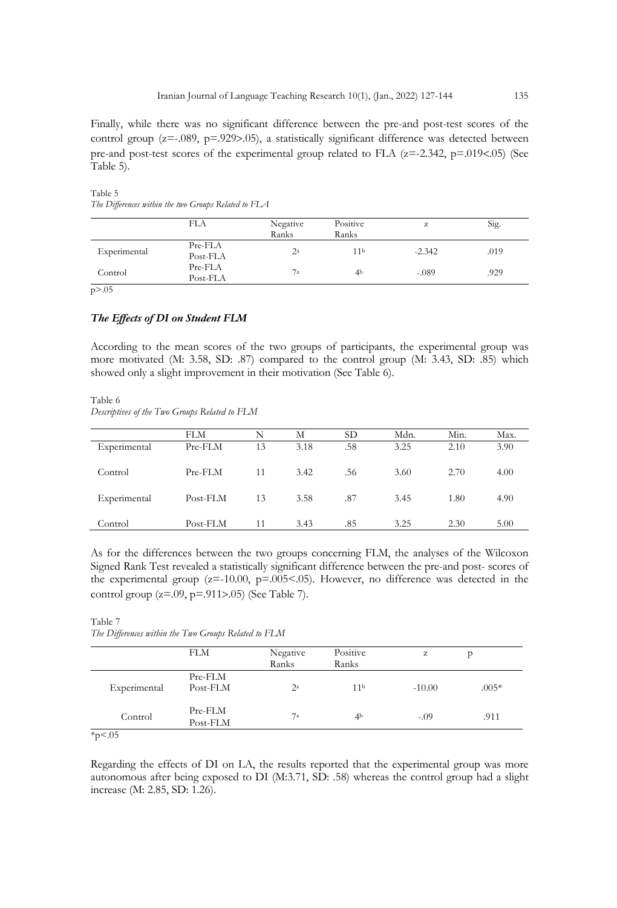Finally, while there was no significant difference between the pre-and post-test scores of the control group ( $z=-0.089$ ,  $p=-0.929$ ). a statistically significant difference was detected between pre-and post-test scores of the experimental group related to FLA  $(z=2.342, p=0.019<0.05)$  (See Table 5).

|              | FLA                 | Negative<br>Ranks | Positive<br>Ranks | z        | Sig. |
|--------------|---------------------|-------------------|-------------------|----------|------|
| Experimental | Pre-FLA<br>Post-FLA | 2 <sup>a</sup>    | 11 <sup>b</sup>   | $-2.342$ | .019 |
| Control      | Pre-FLA<br>Post-FLA | 7a                | 4 <sub>b</sub>    | $-.089$  | .929 |

Table 5 *The Differences within the two Groups Related to FLA*

p>.05

# *The Effects of DI on Student FLM*

According to the mean scores of the two groups of participants, the experimental group was more motivated (M: 3.58, SD: .87) compared to the control group (M: 3.43, SD: .85) which showed only a slight improvement in their motivation (See Table 6).

Table 6 *Descriptives of the Two Groups Related to FLM*

|              | FLM      | N  | М    | <b>SD</b> | Mdn. | Min. | Max. |
|--------------|----------|----|------|-----------|------|------|------|
| Experimental | Pre-FLM  | 13 | 3.18 | .58       | 3.25 | 2.10 | 3.90 |
| Control      | Pre-FLM  | 11 | 3.42 | .56       | 3.60 | 2.70 | 4.00 |
| Experimental | Post-FLM | 13 | 3.58 | .87       | 3.45 | 1.80 | 4.90 |
| Control      | Post-FLM | 11 | 3.43 | .85       | 3.25 | 2.30 | 5.00 |

As for the differences between the two groups concerning FLM, the analyses of the Wilcoxon Signed Rank Test revealed a statistically significant difference between the pre-and post- scores of the experimental group ( $z=10.00$ ,  $p=.005<0.05$ ). However, no difference was detected in the control group (z=.09, p=.911>.05) (See Table 7).

Table 7 *The Differences within the Two Groups Related to FLM*

|              | <b>FLM</b>          | Negative<br>Ranks | Positive<br>Ranks | z        |         |
|--------------|---------------------|-------------------|-------------------|----------|---------|
| Experimental | Pre-FLM<br>Post-FLM | $2^{\rm a}$       | 11 <sup>b</sup>   | $-10.00$ | $.005*$ |
| Control      | Pre-FLM<br>Post-FLM | 7a                | 4 <sup>b</sup>    | $-.09$   | .911    |

 $*p<.05$ 

Regarding the effects of DI on LA, the results reported that the experimental group was more autonomous after being exposed to DI (M:3.71, SD: .58) whereas the control group had a slight increase (M: 2.85, SD: 1.26).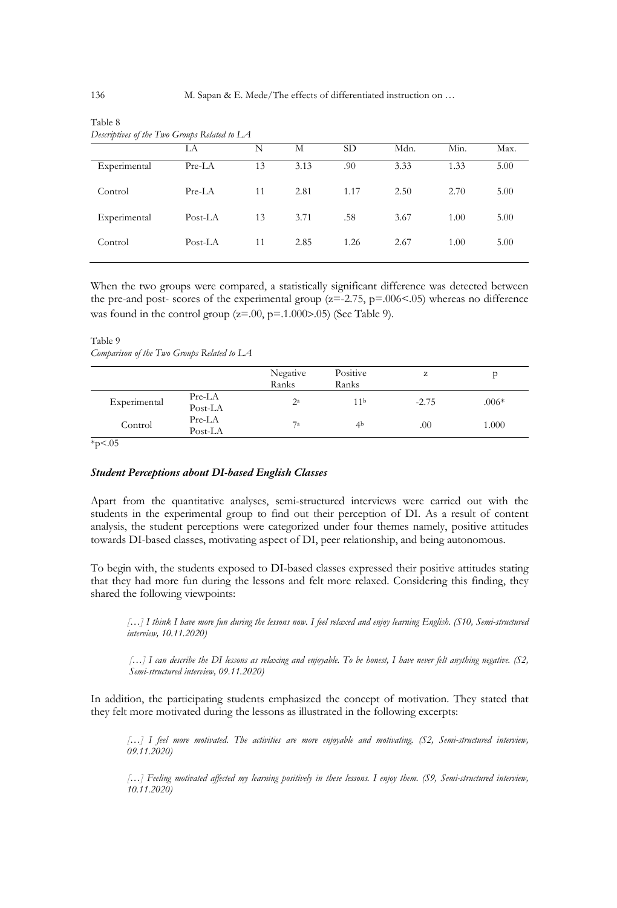|              | LA      | N  | М    | <b>SD</b> | Mdn. | Min. | Max. |
|--------------|---------|----|------|-----------|------|------|------|
| Experimental | Pre-LA  | 13 | 3.13 | .90       | 3.33 | 1.33 | 5.00 |
| Control      | Pre-LA  | 11 | 2.81 | 1.17      | 2.50 | 2.70 | 5.00 |
| Experimental | Post-LA | 13 | 3.71 | .58       | 3.67 | 1.00 | 5.00 |
| Control      | Post-LA | 11 | 2.85 | 1.26      | 2.67 | 1.00 | 5.00 |
|              |         |    |      |           |      |      |      |

| Table 8                                      |  |
|----------------------------------------------|--|
| Descriptives of the Two Groups Related to LA |  |

When the two groups were compared, a statistically significant difference was detected between the pre-and post- scores of the experimental group ( $z=-2.75$ ,  $p=-0.006$  < 0.05) whereas no difference was found in the control group ( $z=0.0$ ,  $p=.1.000>0.05$ ) (See Table 9).

Table 9

*Comparison of the Two Groups Related to LA*

|              |                     | Negative<br>Ranks | Positive<br>Ranks | z       |         |
|--------------|---------------------|-------------------|-------------------|---------|---------|
| Experimental | $Pre-LA$<br>Post-LA | $2^a$             | 11 <sup>b</sup>   | $-2.75$ | $.006*$ |
| Control      | $Pre-LA$<br>Post-LA | 7a                | 4 <sup>b</sup>    | .00     | 1.000   |

 $*_{p < .05}$ 

## *Student Perceptions about DI-based English Classes*

Apart from the quantitative analyses, semi-structured interviews were carried out with the students in the experimental group to find out their perception of DI. As a result of content analysis, the student perceptions were categorized under four themes namely, positive attitudes towards DI-based classes, motivating aspect of DI, peer relationship, and being autonomous.

To begin with, the students exposed to DI-based classes expressed their positive attitudes stating that they had more fun during the lessons and felt more relaxed. Considering this finding, they shared the following viewpoints:

*[…] I think I have more fun during the lessons now. I feel relaxed and enjoy learning English. (S10, Semi-structured interview, 10.11.2020)*

*[…] I can describe the DI lessons as relaxing and enjoyable. To be honest, I have never felt anything negative. (S2, Semi-structured interview, 09.11.2020)*

In addition, the participating students emphasized the concept of motivation. They stated that they felt more motivated during the lessons as illustrated in the following excerpts:

*[…] I feel more motivated. The activities are more enjoyable and motivating. (S2, Semi-structured interview, 09.11.2020)*

*[…] Feeling motivated affected my learning positively in these lessons. I enjoy them. (S9, Semi-structured interview, 10.11.2020)*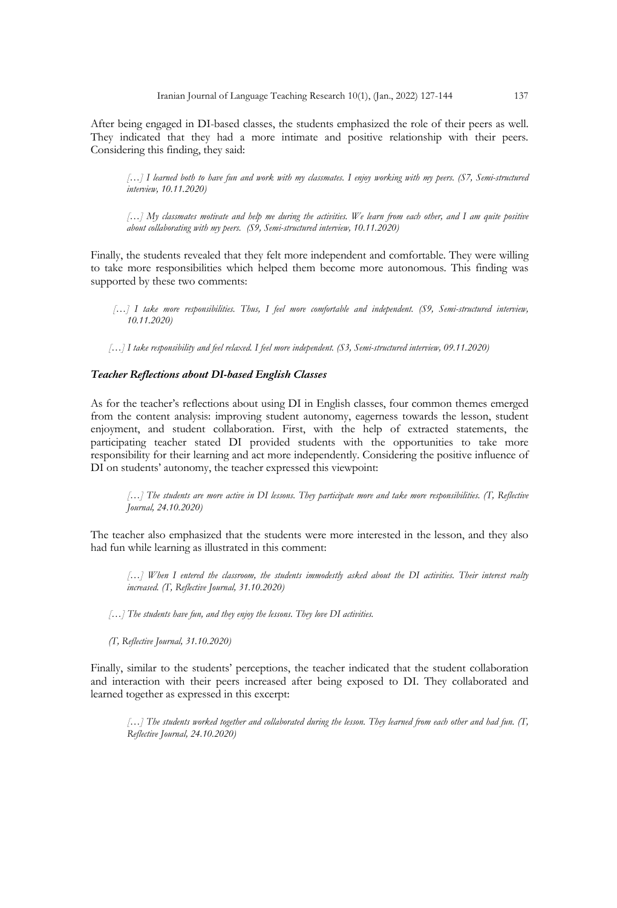After being engaged in DI-based classes, the students emphasized the role of their peers as well. They indicated that they had a more intimate and positive relationship with their peers. Considering this finding, they said:

*[…] I learned both to have fun and work with my classmates. I enjoy working with my peers. (S7, Semi-structured interview, 10.11.2020)*

*[…] My classmates motivate and help me during the activities. We learn from each other, and I am quite positive about collaborating with my peers. (S9, Semi-structured interview, 10.11.2020)*

Finally, the students revealed that they felt more independent and comfortable. They were willing to take more responsibilities which helped them become more autonomous. This finding was supported by these two comments:

 *[…] I take more responsibilities. Thus, I feel more comfortable and independent. (S9, Semi-structured interview, 10.11.2020)*

*[…] I take responsibility and feel relaxed. I feel more independent. (S3, Semi-structured interview, 09.11.2020)*

# *Teacher Reflections about DI-based English Classes*

As for the teacher's reflections about using DI in English classes, four common themes emerged from the content analysis: improving student autonomy, eagerness towards the lesson, student enjoyment, and student collaboration. First, with the help of extracted statements, the participating teacher stated DI provided students with the opportunities to take more responsibility for their learning and act more independently. Considering the positive influence of DI on students' autonomy, the teacher expressed this viewpoint:

*[…] The students are more active in DI lessons. They participate more and take more responsibilities. (T, Reflective Journal, 24.10.2020)*

The teacher also emphasized that the students were more interested in the lesson, and they also had fun while learning as illustrated in this comment:

[...] When I entered the classroom, the students immodestly asked about the DI activities. Their interest realty *increased. (T, Reflective Journal, 31.10.2020)*

 *[…] The students have fun, and they enjoy the lessons. They love DI activities.*

 *(T, Reflective Journal, 31.10.2020)* 

Finally, similar to the students' perceptions, the teacher indicated that the student collaboration and interaction with their peers increased after being exposed to DI. They collaborated and learned together as expressed in this excerpt:

*[…] The students worked together and collaborated during the lesson. They learned from each other and had fun. (T, Reflective Journal, 24.10.2020)*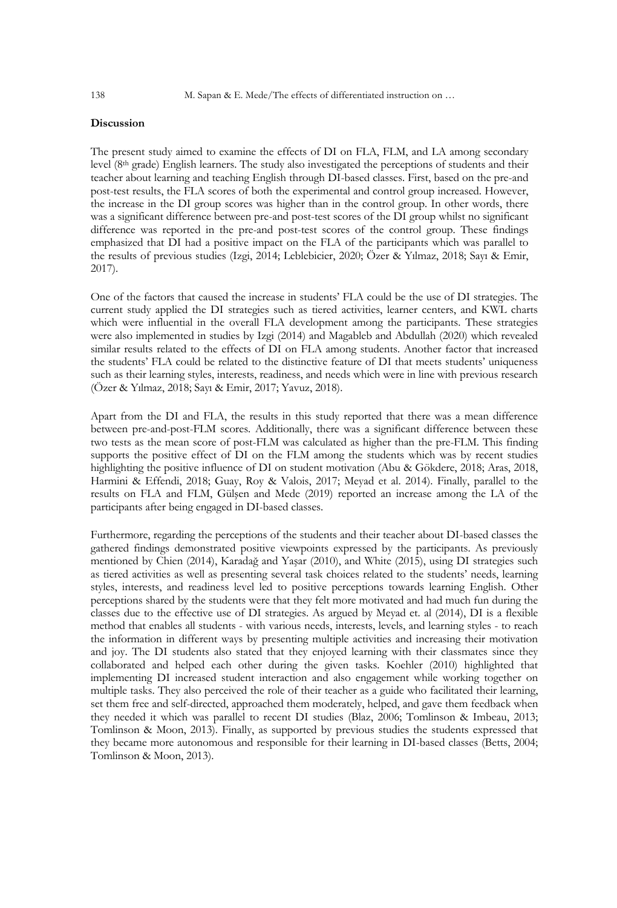# **Discussion**

The present study aimed to examine the effects of DI on FLA, FLM, and LA among secondary level (8th grade) English learners. The study also investigated the perceptions of students and their teacher about learning and teaching English through DI-based classes. First, based on the pre-and post-test results, the FLA scores of both the experimental and control group increased. However, the increase in the DI group scores was higher than in the control group. In other words, there was a significant difference between pre-and post-test scores of the DI group whilst no significant difference was reported in the pre-and post-test scores of the control group. These findings emphasized that DI had a positive impact on the FLA of the participants which was parallel to the results of previous studies (Izgi, 2014; Leblebicier, 2020; Özer & Yılmaz, 2018; Sayı & Emir, 2017).

One of the factors that caused the increase in students' FLA could be the use of DI strategies. The current study applied the DI strategies such as tiered activities, learner centers, and KWL charts which were influential in the overall FLA development among the participants. These strategies were also implemented in studies by Izgi (2014) and Magableb and Abdullah (2020) which revealed similar results related to the effects of DI on FLA among students. Another factor that increased the students' FLA could be related to the distinctive feature of DI that meets students' uniqueness such as their learning styles, interests, readiness, and needs which were in line with previous research (Özer & Yılmaz, 2018; Sayı & Emir, 2017; Yavuz, 2018).

Apart from the DI and FLA, the results in this study reported that there was a mean difference between pre-and-post-FLM scores. Additionally, there was a significant difference between these two tests as the mean score of post-FLM was calculated as higher than the pre-FLM. This finding supports the positive effect of DI on the FLM among the students which was by recent studies highlighting the positive influence of DI on student motivation (Abu & Gökdere, 2018; Aras, 2018, Harmini & Effendi, 2018; Guay, Roy & Valois, 2017; Meyad et al. 2014). Finally, parallel to the results on FLA and FLM, Gülşen and Mede (2019) reported an increase among the LA of the participants after being engaged in DI-based classes.

Furthermore, regarding the perceptions of the students and their teacher about DI-based classes the gathered findings demonstrated positive viewpoints expressed by the participants. As previously mentioned by Chien (2014), Karadağ and Yaşar (2010), and White (2015), using DI strategies such as tiered activities as well as presenting several task choices related to the students' needs, learning styles, interests, and readiness level led to positive perceptions towards learning English. Other perceptions shared by the students were that they felt more motivated and had much fun during the classes due to the effective use of DI strategies. As argued by Meyad et. al (2014), DI is a flexible method that enables all students - with various needs, interests, levels, and learning styles - to reach the information in different ways by presenting multiple activities and increasing their motivation and joy. The DI students also stated that they enjoyed learning with their classmates since they collaborated and helped each other during the given tasks. Koehler (2010) highlighted that implementing DI increased student interaction and also engagement while working together on multiple tasks. They also perceived the role of their teacher as a guide who facilitated their learning, set them free and self-directed, approached them moderately, helped, and gave them feedback when they needed it which was parallel to recent DI studies (Blaz, 2006; Tomlinson & Imbeau, 2013; Tomlinson & Moon, 2013). Finally, as supported by previous studies the students expressed that they became more autonomous and responsible for their learning in DI-based classes (Betts, 2004; Tomlinson & Moon, 2013).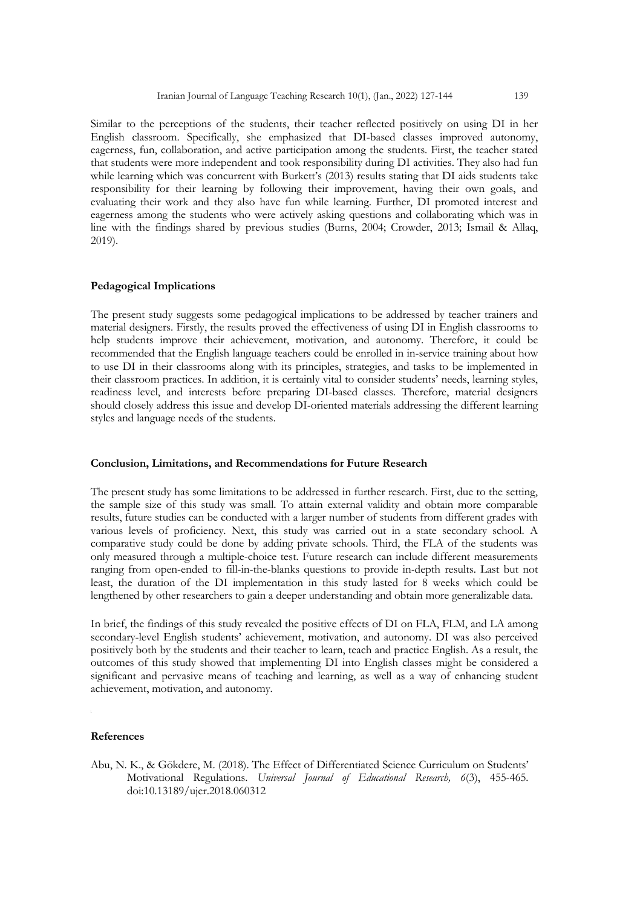Similar to the perceptions of the students, their teacher reflected positively on using DI in her English classroom. Specifically, she emphasized that DI-based classes improved autonomy, eagerness, fun, collaboration, and active participation among the students. First, the teacher stated that students were more independent and took responsibility during DI activities. They also had fun while learning which was concurrent with Burkett's (2013) results stating that DI aids students take responsibility for their learning by following their improvement, having their own goals, and evaluating their work and they also have fun while learning. Further, DI promoted interest and eagerness among the students who were actively asking questions and collaborating which was in line with the findings shared by previous studies (Burns, 2004; Crowder, 2013; Ismail & Allaq, 2019).

# **Pedagogical Implications**

The present study suggests some pedagogical implications to be addressed by teacher trainers and material designers. Firstly, the results proved the effectiveness of using DI in English classrooms to help students improve their achievement, motivation, and autonomy. Therefore, it could be recommended that the English language teachers could be enrolled in in-service training about how to use DI in their classrooms along with its principles, strategies, and tasks to be implemented in their classroom practices. In addition, it is certainly vital to consider students' needs, learning styles, readiness level, and interests before preparing DI-based classes. Therefore, material designers should closely address this issue and develop DI-oriented materials addressing the different learning styles and language needs of the students.

# **Conclusion, Limitations, and Recommendations for Future Research**

The present study has some limitations to be addressed in further research. First, due to the setting, the sample size of this study was small. To attain external validity and obtain more comparable results, future studies can be conducted with a larger number of students from different grades with various levels of proficiency. Next, this study was carried out in a state secondary school. A comparative study could be done by adding private schools. Third, the FLA of the students was only measured through a multiple-choice test. Future research can include different measurements ranging from open-ended to fill-in-the-blanks questions to provide in-depth results. Last but not least, the duration of the DI implementation in this study lasted for 8 weeks which could be lengthened by other researchers to gain a deeper understanding and obtain more generalizable data.

In brief, the findings of this study revealed the positive effects of DI on FLA, FLM, and LA among secondary-level English students' achievement, motivation, and autonomy. DI was also perceived positively both by the students and their teacher to learn, teach and practice English. As a result, the outcomes of this study showed that implementing DI into English classes might be considered a significant and pervasive means of teaching and learning, as well as a way of enhancing student achievement, motivation, and autonomy.

## **References**

Abu, N. K., & Gökdere, M. (2018). The Effect of Differentiated Science Curriculum on Students' Motivational Regulations. *Universal Journal of Educational Research, 6*(3), 455-465. doi:10.13189/ujer.2018.060312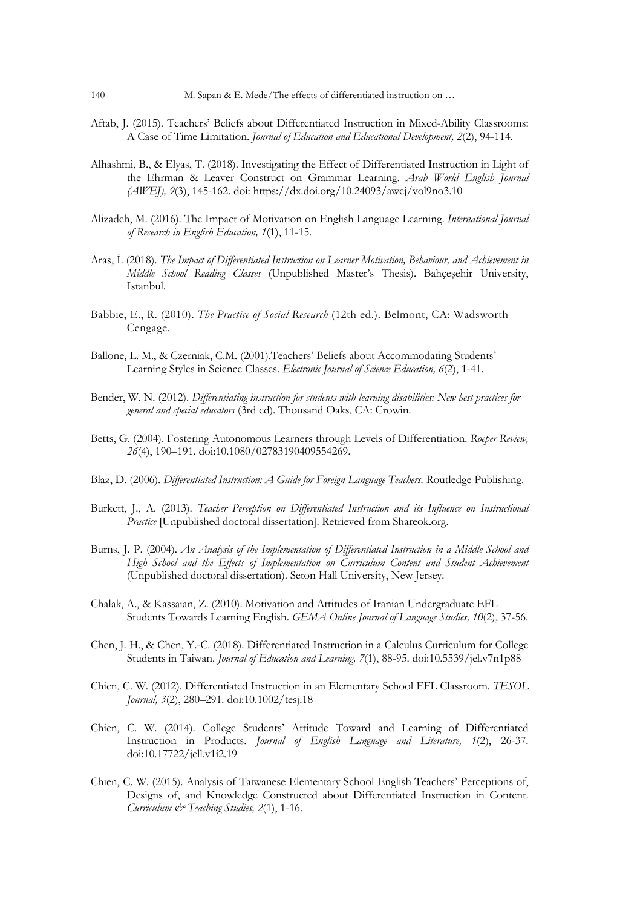- Aftab, J. (2015). Teachers' Beliefs about Differentiated Instruction in Mixed-Ability Classrooms: A Case of Time Limitation. *Journal of Education and Educational Development, 2*(2), 94-114.
- Alhashmi, B., & Elyas, T. (2018). Investigating the Effect of Differentiated Instruction in Light of the Ehrman & Leaver Construct on Grammar Learning. *Arab World English Journal (AWEJ), 9*(3), 145-162. doi: https://dx.doi.org/10.24093/awej/vol9no3.10
- Alizadeh, M. (2016). The Impact of Motivation on English Language Learning. *International Journal of Research in English Education, 1*(1), 11-15.
- Aras, İ. (2018). *The Impact of Differentiated Instruction on Learner Motivation, Behaviour, and Achievement in Middle School Reading Classes* (Unpublished Master's Thesis). Bahçeşehir University, Istanbul.
- Babbie, E., R. (2010). *The Practice of Social Research* (12th ed.). Belmont, CA: Wadsworth Cengage.
- Ballone, L. M., & Czerniak, C.M. (2001).Teachers' Beliefs about Accommodating Students' Learning Styles in Science Classes. *Electronic Journal of Science Education, 6*(2), 1-41.
- Bender, W. N. (2012). *Differentiating instruction for students with learning disabilities: New best practices for general and special educators* (3rd ed). Thousand Oaks, CA: Crowin.
- Betts, G. (2004). Fostering Autonomous Learners through Levels of Differentiation. *Roeper Review, 26*(4), 190–191. doi:10.1080/02783190409554269.
- Blaz, D. (2006). *Differentiated Instruction: A Guide for Foreign Language Teachers.* Routledge Publishing.
- Burkett, J., A. (2013). *Teacher Perception on Differentiated Instruction and its Influence on Instructional Practice* [Unpublished doctoral dissertation]. Retrieved from Shareok.org.
- Burns, J. P. (2004). *An Analysis of the Implementation of Differentiated Instruction in a Middle School and High School and the Effects of Implementation on Curriculum Content and Student Achievement* (Unpublished doctoral dissertation). Seton Hall University, New Jersey.
- Chalak, A., & Kassaian, Z. (2010). Motivation and Attitudes of Iranian Undergraduate EFL Students Towards Learning English. *GEMA Online Journal of Language Studies, 10*(2), 37-56.
- Chen, J. H., & Chen, Y.-C. (2018). Differentiated Instruction in a Calculus Curriculum for College Students in Taiwan. *Journal of Education and Learning, 7*(1), 88-95. doi:10.5539/jel.v7n1p88
- Chien, C. W. (2012). Differentiated Instruction in an Elementary School EFL Classroom. *TESOL Journal, 3*(2), 280–291*.* doi:10.1002/tesj.18
- Chien, C. W. (2014). College Students' Attitude Toward and Learning of Differentiated Instruction in Products. *Journal of English Language and Literature, 1*(2), 26-37. doi:10.17722/jell.v1i2.19
- Chien, C. W. (2015). Analysis of Taiwanese Elementary School English Teachers' Perceptions of, Designs of, and Knowledge Constructed about Differentiated Instruction in Content. *Curriculum & Teaching Studies, 2*(1), 1-16.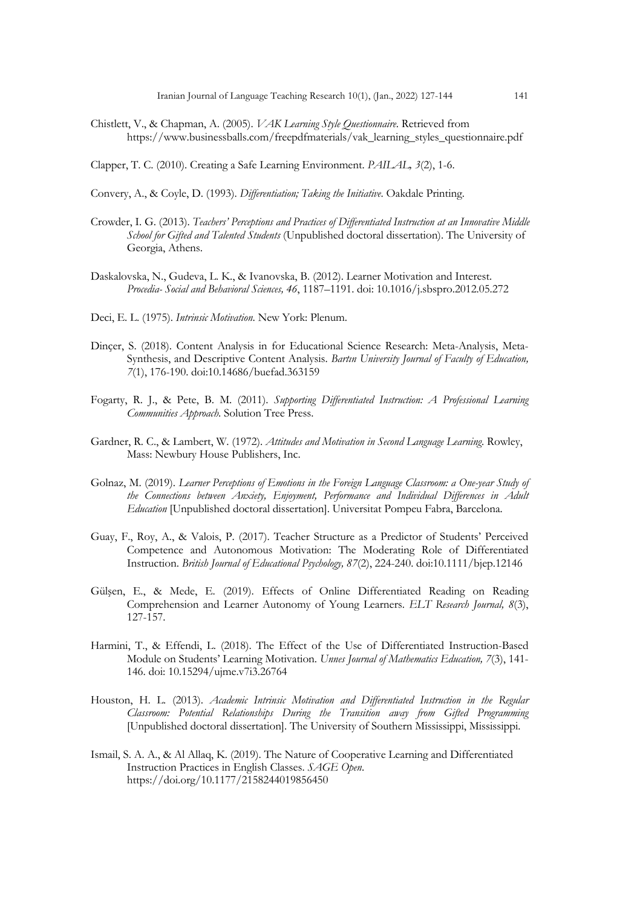- Chistlett, V., & Chapman, A. (2005). *VAK Learning Style Questionnaire*. Retrieved from https://www.businessballs.com/freepdfmaterials/vak\_learning\_styles\_questionnaire.pdf
- Clapper, T. C. (2010). Creating a Safe Learning Environment. *PAILAL, 3*(2), 1-6.
- Convery, A., & Coyle, D. (1993). *Differentiation; Taking the Initiative*. Oakdale Printing.
- Crowder, I. G. (2013). *Teachers' Perceptions and Practices of Differentiated Instruction at an Innovative Middle School for Gifted and Talented Students* (Unpublished doctoral dissertation). The University of Georgia, Athens.
- Daskalovska, N., Gudeva, L. K., & Ivanovska, B. (2012). Learner Motivation and Interest. *Procedia- Social and Behavioral Sciences, 46*, 1187–1191. doi: 10.1016/j.sbspro.2012.05.272
- Deci, E. L. (1975). *Intrinsic Motivation*. New York: Plenum.
- Dinçer, S. (2018). Content Analysis in for Educational Science Research: Meta-Analysis, Meta-Synthesis, and Descriptive Content Analysis. *Bartın University Journal of Faculty of Education, 7*(1), 176-190. doi:10.14686/buefad.363159
- Fogarty, R. J., & Pete, B. M. (2011). *Supporting Differentiated Instruction: A Professional Learning Communities Approach*. Solution Tree Press.
- Gardner, R. C., & Lambert, W. (1972). *Attitudes and Motivation in Second Language Learning*. Rowley, Mass: Newbury House Publishers, Inc.
- Golnaz, M. (2019). *Learner Perceptions of Emotions in the Foreign Language Classroom: a One-year Study of the Connections between Anxiety, Enjoyment, Performance and Individual Differences in Adult Education* [Unpublished doctoral dissertation]. Universitat Pompeu Fabra, Barcelona.
- Guay, F., Roy, A., & Valois, P. (2017). Teacher Structure as a Predictor of Students' Perceived Competence and Autonomous Motivation: The Moderating Role of Differentiated Instruction. *British Journal of Educational Psychology, 87*(2), 224-240. doi:10.1111/bjep.12146
- Gülşen, E., & Mede, E. (2019). Effects of Online Differentiated Reading on Reading Comprehension and Learner Autonomy of Young Learners. *ELT Research Journal, 8*(3), 127-157.
- Harmini, T., & Effendi, L. (2018). The Effect of the Use of Differentiated Instruction-Based Module on Students' Learning Motivation. *Unnes Journal of Mathematics Education, 7*(3), 141- 146. doi: 10.15294/ujme.v7i3.26764
- Houston, H. L. (2013). *Academic Intrinsic Motivation and Differentiated Instruction in the Regular Classroom: Potential Relationships During the Transition away from Gifted Programming* [Unpublished doctoral dissertation]. The University of Southern Mississippi, Mississippi.
- Ismail, S. A. A., & Al Allaq, K. (2019). The Nature of Cooperative Learning and Differentiated Instruction Practices in English Classes. *SAGE Open*. https://doi.org/10.1177/2158244019856450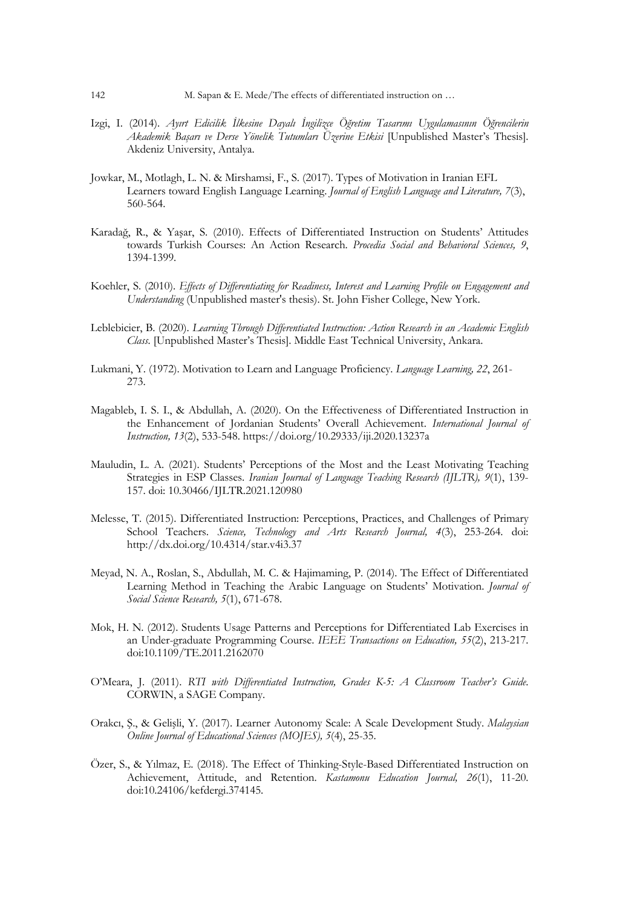- Izgi, I. (2014). *Ayırt Edicilik İlkesine Dayalı İngilizce Öğretim Tasarımı Uygulamasının Öğrencilerin Akademik Başarı ve Derse Yönelik Tutumları Üzerine Etkisi* [Unpublished Master's Thesis]. Akdeniz University, Antalya.
- Jowkar, M., Motlagh, L. N. & Mirshamsi, F., S. (2017). Types of Motivation in Iranian EFL Learners toward English Language Learning. *Journal of English Language and Literature, 7*(3), 560-564.
- Karadağ, R., & Yaşar, S. (2010). Effects of Differentiated Instruction on Students' Attitudes towards Turkish Courses: An Action Research. *Procedia Social and Behavioral Sciences, 9*, 1394-1399.
- Koehler, S. (2010). *Effects of Differentiating for Readiness, Interest and Learning Profile on Engagement and Understanding* (Unpublished master's thesis). St. John Fisher College, New York.
- Leblebicier, B. (2020). *Learning Through Differentiated Instruction: Action Research in an Academic English Class.* [Unpublished Master's Thesis]. Middle East Technical University, Ankara.
- Lukmani, Y. (1972). Motivation to Learn and Language Proficiency. *Language Learning, 22*, 261- 273.
- Magableb, I. S. I., & Abdullah, A. (2020). On the Effectiveness of Differentiated Instruction in the Enhancement of Jordanian Students' Overall Achievement. *International Journal of Instruction, 13*(2), 533-548. https://doi.org/10.29333/iji.2020.13237a
- Mauludin, L. A. (2021). Students' Perceptions of the Most and the Least Motivating Teaching Strategies in ESP Classes. *Iranian Journal of Language Teaching Research (IJLTR), 9*(1), 139- 157. doi: 10.30466/IJLTR.2021.120980
- Melesse, T. (2015). Differentiated Instruction: Perceptions, Practices, and Challenges of Primary School Teachers. *Science, Technology and Arts Research Journal, 4*(3), 253-264. doi: http://dx.doi.org/10.4314/star.v4i3.37
- Meyad, N. A., Roslan, S., Abdullah, M. C. & Hajimaming, P. (2014). The Effect of Differentiated Learning Method in Teaching the Arabic Language on Students' Motivation. *Journal of Social Science Research, 5*(1), 671-678.
- Mok, H. N. (2012). Students Usage Patterns and Perceptions for Differentiated Lab Exercises in an Under-graduate Programming Course. *IEEE Transactions on Education, 55*(2), 213-217. doi:10.1109/TE.2011.2162070
- O'Meara, J. (2011). *RTI with Differentiated Instruction, Grades K-5: A Classroom Teacher's Guide*. CORWIN, a SAGE Company.
- Orakcı, Ş., & Gelişli, Y. (2017). Learner Autonomy Scale: A Scale Development Study. *Malaysian Online Journal of Educational Sciences (MOJES), 5*(4), 25-35.
- Özer, S., & Yılmaz, E. (2018). The Effect of Thinking-Style-Based Differentiated Instruction on Achievement, Attitude, and Retention. *Kastamonu Education Journal, 26*(1), 11-20. doi:10.24106/kefdergi.374145.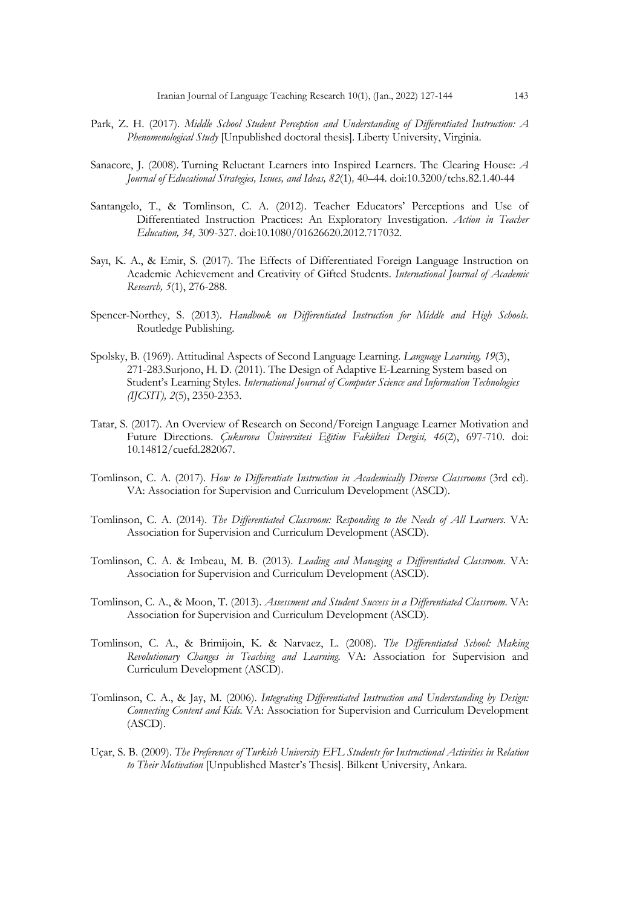- Park, Z. H. (2017). *Middle School Student Perception and Understanding of Differentiated Instruction: A Phenomenological Study* [Unpublished doctoral thesis]. Liberty University, Virginia.
- Sanacore, J. (2008). Turning Reluctant Learners into Inspired Learners. The Clearing House: *A Journal of Educational Strategies, Issues, and Ideas, 82*(1)*,* 40–44*.* doi:10.3200/tchs.82.1.40-44
- Santangelo, T., & Tomlinson, C. A. (2012). Teacher Educators' Perceptions and Use of Differentiated Instruction Practices: An Exploratory Investigation. *Action in Teacher Education, 34,* 309-327. doi:10.1080/01626620.2012.717032.
- Sayı, K. A., & Emir, S. (2017). The Effects of Differentiated Foreign Language Instruction on Academic Achievement and Creativity of Gifted Students. *International Journal of Academic Research, 5*(1), 276-288.
- Spencer-Northey, S. (2013). *Handbook on Differentiated Instruction for Middle and High Schools*. Routledge Publishing.
- Spolsky, B. (1969). Attitudinal Aspects of Second Language Learning. *Language Learning, 19*(3), 271-283.Surjono, H. D. (2011). The Design of Adaptive E-Learning System based on Student's Learning Styles. *International Journal of Computer Science and Information Technologies (IJCSIT), 2*(5), 2350-2353.
- Tatar, S. (2017). An Overview of Research on Second/Foreign Language Learner Motivation and Future Directions. *Çukurova Üniversitesi Eğitim Fakültesi Dergisi, 46*(2), 697-710. doi: 10.14812/cuefd.282067.
- Tomlinson, C. A. (2017). *How to Differentiate Instruction in Academically Diverse Classrooms* (3rd ed). VA: Association for Supervision and Curriculum Development (ASCD).
- Tomlinson, C. A. (2014). *The Differentiated Classroom: Responding to the Needs of All Learners*. VA: Association for Supervision and Curriculum Development (ASCD).
- Tomlinson, C. A. & Imbeau, M. B. (2013). *Leading and Managing a Differentiated Classroom*. VA: Association for Supervision and Curriculum Development (ASCD).
- Tomlinson, C. A., & Moon, T. (2013). *Assessment and Student Success in a Differentiated Classroom*. VA: Association for Supervision and Curriculum Development (ASCD).
- Tomlinson, C. A., & Brimijoin, K. & Narvaez, L. (2008). *The Differentiated School: Making Revolutionary Changes in Teaching and Learning.* VA: Association for Supervision and Curriculum Development (ASCD).
- Tomlinson, C. A., & Jay, M. (2006). *Integrating Differentiated Instruction and Understanding by Design: Connecting Content and Kids.* VA: Association for Supervision and Curriculum Development (ASCD).
- Uçar, S. B. (2009). *The Preferences of Turkish University EFL Students for Instructional Activities in Relation to Their Motivation* [Unpublished Master's Thesis]. Bilkent University, Ankara.